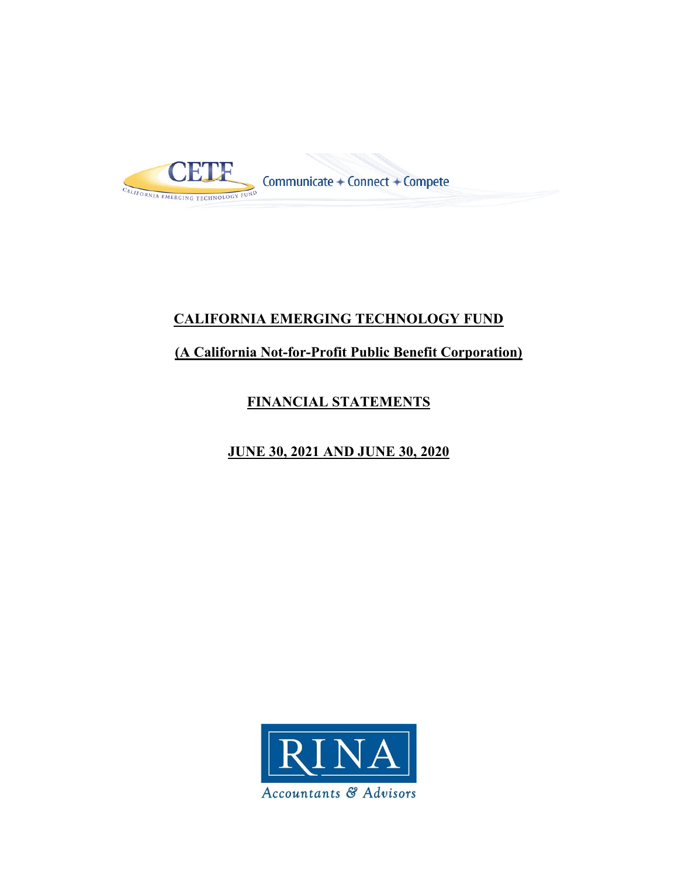

# **(A California Not-for-Profit Public Benefit Corporation)**

**FINANCIAL STATEMENTS** 

**JUNE 30, 2021 AND JUNE 30, 2020**

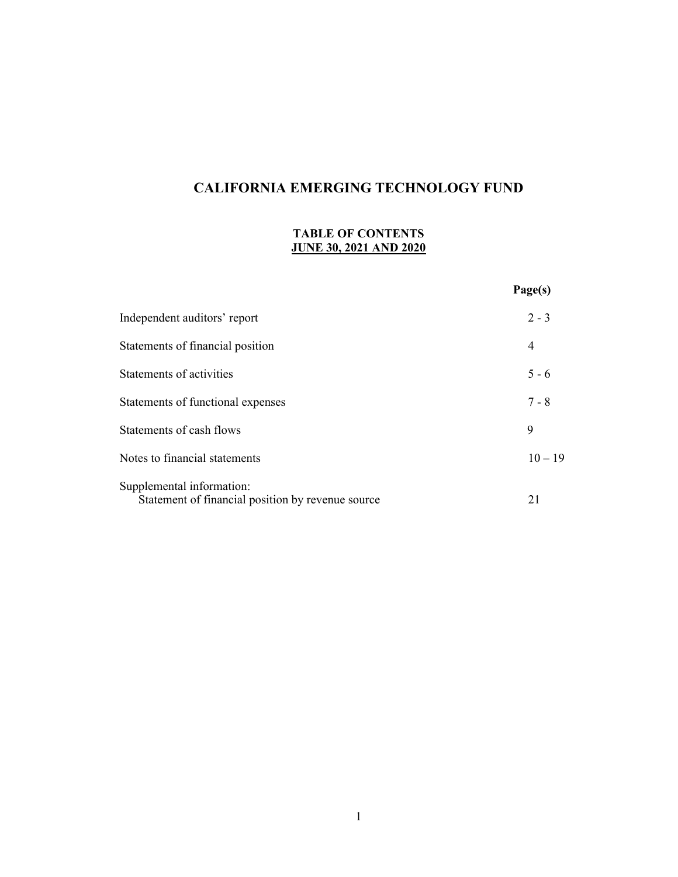## **TABLE OF CONTENTS JUNE 30, 2021 AND 2020**

|                                                                                | Page(s)        |
|--------------------------------------------------------------------------------|----------------|
| Independent auditors' report                                                   | $2 - 3$        |
| Statements of financial position                                               | $\overline{4}$ |
| Statements of activities                                                       | $5 - 6$        |
| Statements of functional expenses                                              | $7 - 8$        |
| Statements of cash flows                                                       | 9              |
| Notes to financial statements                                                  | $10 - 19$      |
| Supplemental information:<br>Statement of financial position by revenue source | 21             |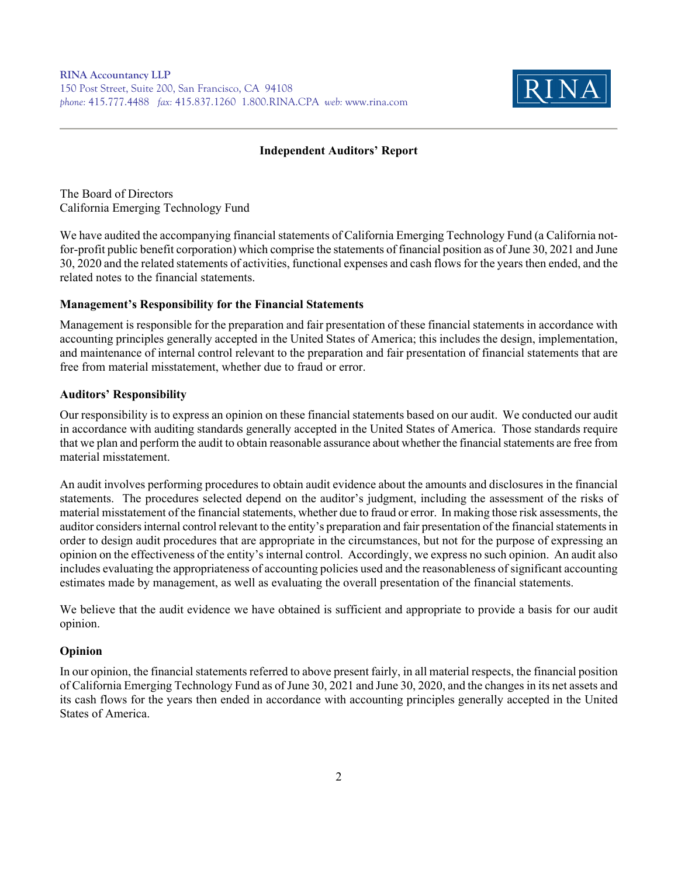

## **Independent Auditors' Report**

The Board of Directors California Emerging Technology Fund

We have audited the accompanying financial statements of California Emerging Technology Fund (a California notfor-profit public benefit corporation) which comprise the statements of financial position as of June 30, 2021 and June 30, 2020 and the related statements of activities, functional expenses and cash flows for the years then ended, and the related notes to the financial statements.

## **Management's Responsibility for the Financial Statements**

Management is responsible for the preparation and fair presentation of these financial statements in accordance with accounting principles generally accepted in the United States of America; this includes the design, implementation, and maintenance of internal control relevant to the preparation and fair presentation of financial statements that are free from material misstatement, whether due to fraud or error.

## **Auditors' Responsibility**

Our responsibility is to express an opinion on these financial statements based on our audit. We conducted our audit in accordance with auditing standards generally accepted in the United States of America. Those standards require that we plan and perform the audit to obtain reasonable assurance about whether the financial statements are free from material misstatement.

An audit involves performing procedures to obtain audit evidence about the amounts and disclosures in the financial statements. The procedures selected depend on the auditor's judgment, including the assessment of the risks of material misstatement of the financial statements, whether due to fraud or error. In making those risk assessments, the auditor considers internal control relevant to the entity's preparation and fair presentation of the financial statements in order to design audit procedures that are appropriate in the circumstances, but not for the purpose of expressing an opinion on the effectiveness of the entity's internal control. Accordingly, we express no such opinion. An audit also includes evaluating the appropriateness of accounting policies used and the reasonableness of significant accounting estimates made by management, as well as evaluating the overall presentation of the financial statements.

We believe that the audit evidence we have obtained is sufficient and appropriate to provide a basis for our audit opinion.

## **Opinion**

In our opinion, the financial statements referred to above present fairly, in all material respects, the financial position of California Emerging Technology Fund as of June 30, 2021 and June 30, 2020, and the changes in its net assets and its cash flows for the years then ended in accordance with accounting principles generally accepted in the United States of America.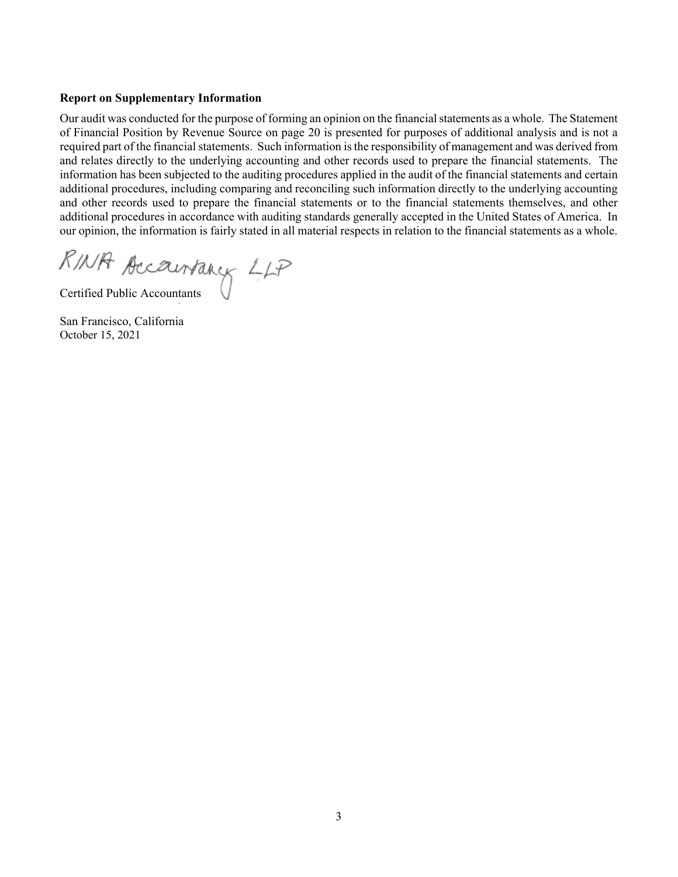#### **Report on Supplementary Information**

Our audit was conducted for the purpose of forming an opinion on the financial statements as a whole. The Statement of Financial Position by Revenue Source on page 20 is presented for purposes of additional analysis and is not a required part of the financial statements. Such information is the responsibility of management and was derived from and relates directly to the underlying accounting and other records used to prepare the financial statements. The information has been subjected to the auditing procedures applied in the audit of the financial statements and certain additional procedures, including comparing and reconciling such information directly to the underlying accounting and other records used to prepare the financial statements or to the financial statements themselves, and other additional procedures in accordance with auditing standards generally accepted in the United States of America. In our opinion, the information is fairly stated in all material respects in relation to the financial statements as a whole.

RINA Accountancy LLP<br>Certified Public Accountants

San Francisco, California October 15, 2021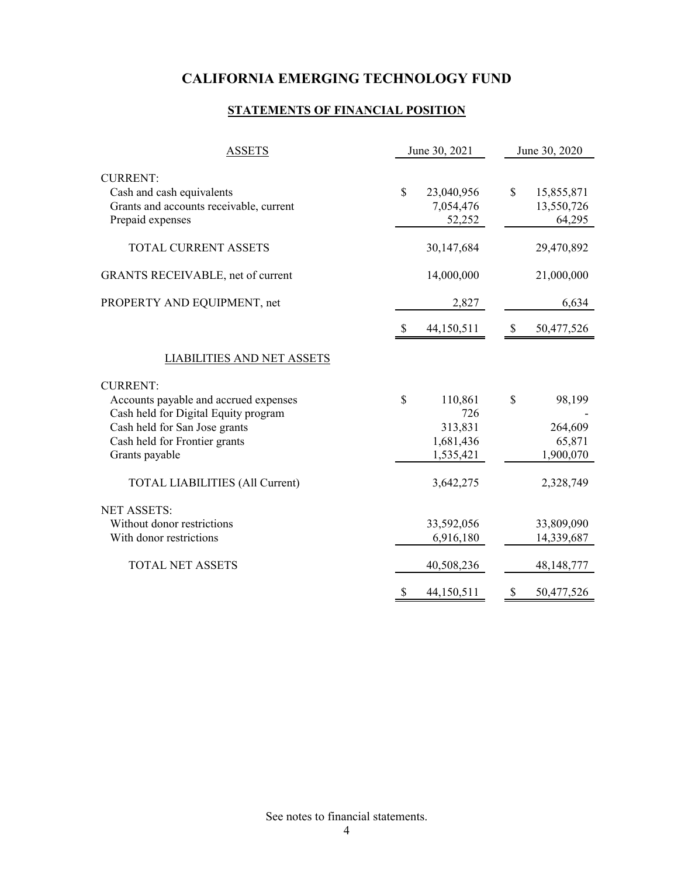# **STATEMENTS OF FINANCIAL POSITION**

| <b>ASSETS</b>                                                         | June 30, 2021              | June 30, 2020        |
|-----------------------------------------------------------------------|----------------------------|----------------------|
| <b>CURRENT:</b><br>Cash and cash equivalents                          | \$<br>23,040,956           | \$<br>15,855,871     |
| Grants and accounts receivable, current<br>Prepaid expenses           | 7,054,476<br>52,252        | 13,550,726<br>64,295 |
| TOTAL CURRENT ASSETS                                                  | 30,147,684                 | 29,470,892           |
| GRANTS RECEIVABLE, net of current                                     | 14,000,000                 | 21,000,000           |
| PROPERTY AND EQUIPMENT, net                                           | 2,827                      | 6,634                |
|                                                                       | 44,150,511<br><sup>S</sup> | 50,477,526<br>\$     |
| <b>LIABILITIES AND NET ASSETS</b>                                     |                            |                      |
| <b>CURRENT:</b>                                                       |                            |                      |
| Accounts payable and accrued expenses                                 | \$<br>110,861              | \$<br>98,199         |
| Cash held for Digital Equity program<br>Cash held for San Jose grants | 726<br>313,831             | 264,609              |
| Cash held for Frontier grants                                         | 1,681,436                  | 65,871               |
| Grants payable                                                        | 1,535,421                  | 1,900,070            |
| TOTAL LIABILITIES (All Current)                                       | 3,642,275                  | 2,328,749            |
| <b>NET ASSETS:</b>                                                    |                            |                      |
| Without donor restrictions                                            | 33,592,056                 | 33,809,090           |
| With donor restrictions                                               | 6,916,180                  | 14,339,687           |
| <b>TOTAL NET ASSETS</b>                                               | 40,508,236                 | 48, 148, 777         |
|                                                                       | \$<br>44,150,511           | \$<br>50,477,526     |

See notes to financial statements.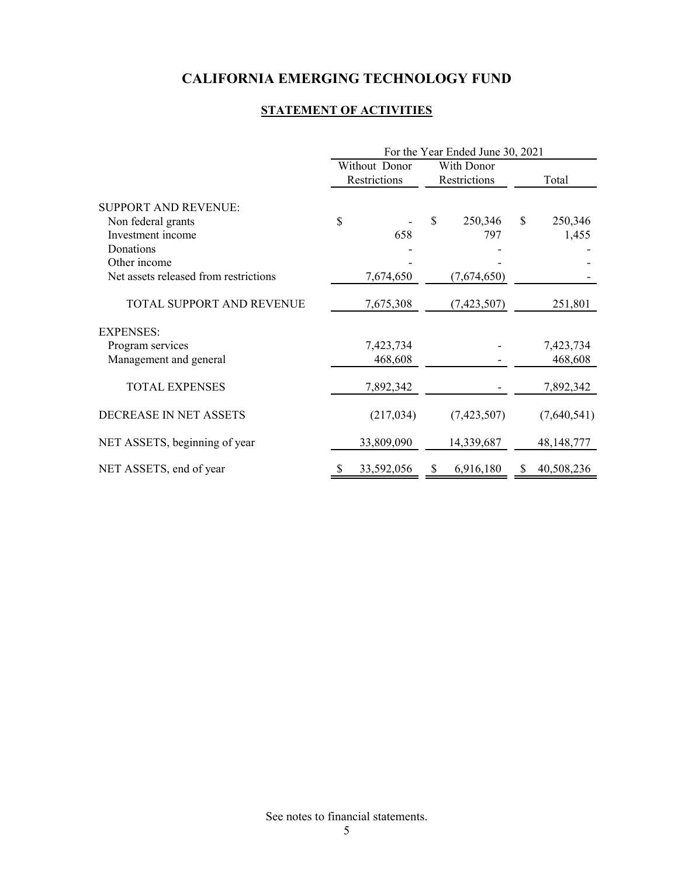# **STATEMENT OF ACTIVITIES**

|                                       | For the Year Ended June 30, 2021 |            |                            |             |               |              |
|---------------------------------------|----------------------------------|------------|----------------------------|-------------|---------------|--------------|
|                                       | Without Donor<br>Restrictions    |            | With Donor<br>Restrictions |             |               | Total        |
| <b>SUPPORT AND REVENUE:</b>           |                                  |            |                            |             |               |              |
| Non federal grants                    | \$                               |            | \$                         | 250,346     | $\mathcal{S}$ | 250,346      |
| Investment income                     |                                  | 658        |                            | 797         |               | 1,455        |
| Donations                             |                                  |            |                            |             |               |              |
| Other income                          |                                  |            |                            |             |               |              |
| Net assets released from restrictions |                                  | 7,674,650  |                            | (7,674,650) |               |              |
| TOTAL SUPPORT AND REVENUE             |                                  | 7,675,308  |                            | (7,423,507) |               | 251,801      |
| <b>EXPENSES:</b>                      |                                  |            |                            |             |               |              |
| Program services                      |                                  | 7,423,734  |                            |             |               | 7,423,734    |
| Management and general                |                                  | 468,608    |                            |             |               | 468,608      |
| <b>TOTAL EXPENSES</b>                 |                                  | 7,892,342  |                            |             |               | 7,892,342    |
| DECREASE IN NET ASSETS                |                                  | (217, 034) |                            | (7,423,507) |               | (7,640,541)  |
| NET ASSETS, beginning of year         |                                  | 33,809,090 |                            | 14,339,687  |               | 48, 148, 777 |
| NET ASSETS, end of year               |                                  | 33,592,056 | \$                         | 6,916,180   |               | 40,508,236   |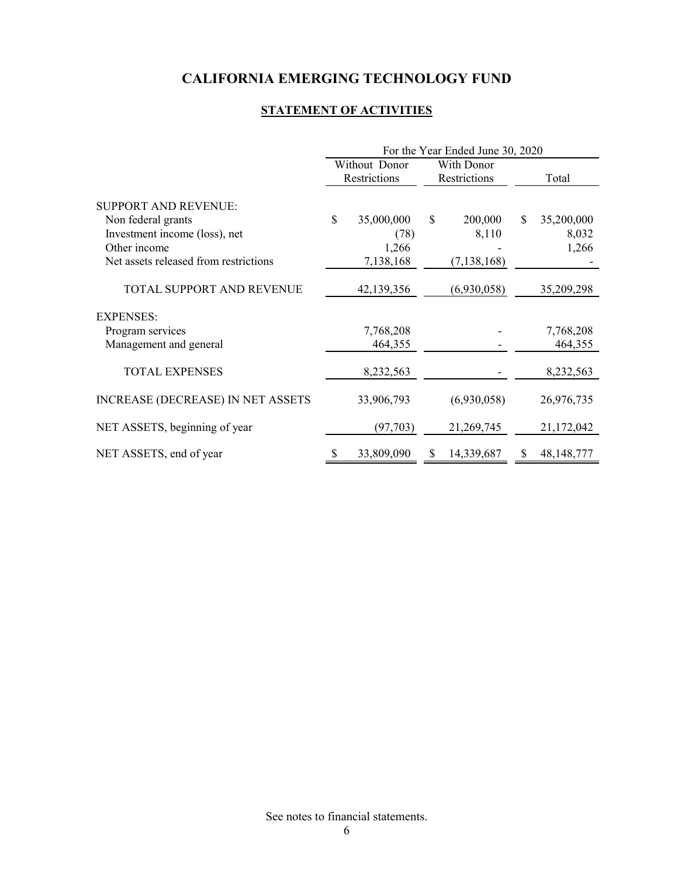# **STATEMENT OF ACTIVITIES**

|                                          | For the Year Ended June 30, 2020 |            |                            |               |    |              |
|------------------------------------------|----------------------------------|------------|----------------------------|---------------|----|--------------|
|                                          | Without Donor<br>Restrictions    |            | With Donor<br>Restrictions |               |    | Total        |
| <b>SUPPORT AND REVENUE:</b>              |                                  |            |                            |               |    |              |
| Non federal grants                       | \$                               | 35,000,000 | \$                         | 200,000       | \$ | 35,200,000   |
| Investment income (loss), net            |                                  | (78)       |                            | 8,110         |    | 8,032        |
| Other income                             |                                  | 1,266      |                            |               |    | 1,266        |
| Net assets released from restrictions    |                                  | 7,138,168  |                            | (7, 138, 168) |    |              |
| TOTAL SUPPORT AND REVENUE                |                                  | 42,139,356 |                            | (6,930,058)   |    | 35,209,298   |
| <b>EXPENSES:</b>                         |                                  |            |                            |               |    |              |
| Program services                         |                                  | 7,768,208  |                            |               |    | 7,768,208    |
| Management and general                   |                                  | 464,355    |                            |               |    | 464,355      |
| <b>TOTAL EXPENSES</b>                    |                                  | 8,232,563  |                            |               |    | 8,232,563    |
| <b>INCREASE (DECREASE) IN NET ASSETS</b> |                                  | 33,906,793 |                            | (6,930,058)   |    | 26,976,735   |
| NET ASSETS, beginning of year            |                                  | (97, 703)  |                            | 21,269,745    |    | 21,172,042   |
| NET ASSETS, end of year                  | S                                | 33,809,090 | S                          | 14,339,687    | S  | 48, 148, 777 |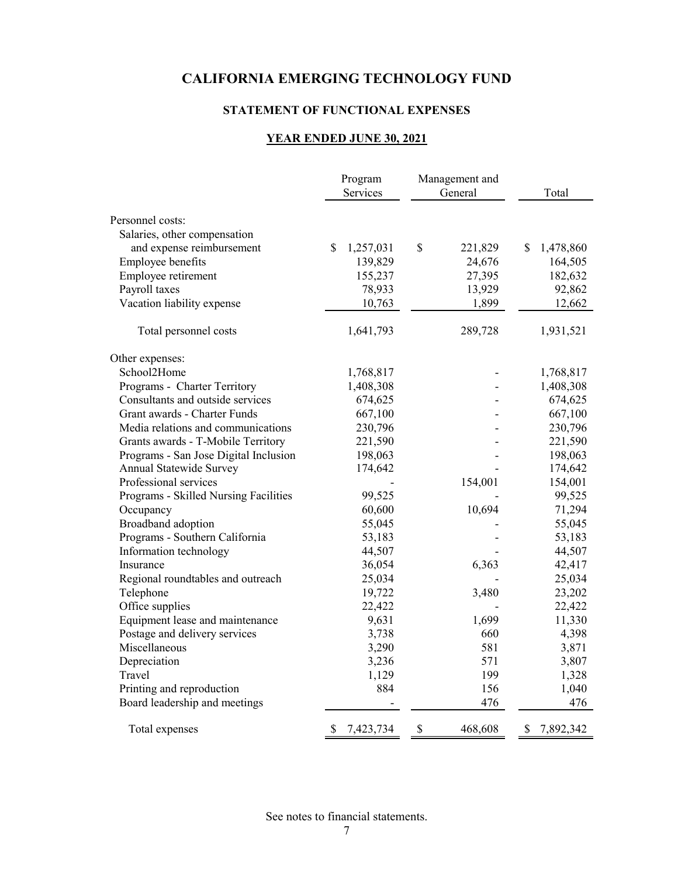# **STATEMENT OF FUNCTIONAL EXPENSES**

#### **YEAR ENDED JUNE 30, 2021**

|                                       | Program<br>Services | Management and<br>General | Total           |
|---------------------------------------|---------------------|---------------------------|-----------------|
| Personnel costs:                      |                     |                           |                 |
| Salaries, other compensation          |                     |                           |                 |
| and expense reimbursement             | \$<br>1,257,031     | \$<br>221,829             | \$<br>1,478,860 |
| Employee benefits                     | 139,829             | 24,676                    | 164,505         |
| Employee retirement                   | 155,237             | 27,395                    | 182,632         |
| Payroll taxes                         | 78,933              | 13,929                    | 92,862          |
| Vacation liability expense            | 10,763              | 1,899                     | 12,662          |
| Total personnel costs                 | 1,641,793           | 289,728                   | 1,931,521       |
| Other expenses:                       |                     |                           |                 |
| School2Home                           | 1,768,817           |                           | 1,768,817       |
| Programs - Charter Territory          | 1,408,308           |                           | 1,408,308       |
| Consultants and outside services      | 674,625             |                           | 674,625         |
| Grant awards - Charter Funds          | 667,100             |                           | 667,100         |
| Media relations and communications    | 230,796             |                           | 230,796         |
| Grants awards - T-Mobile Territory    | 221,590             |                           | 221,590         |
| Programs - San Jose Digital Inclusion | 198,063             |                           | 198,063         |
| Annual Statewide Survey               | 174,642             |                           | 174,642         |
| Professional services                 |                     | 154,001                   | 154,001         |
| Programs - Skilled Nursing Facilities | 99,525              |                           | 99,525          |
| Occupancy                             | 60,600              | 10,694                    | 71,294          |
| Broadband adoption                    | 55,045              |                           | 55,045          |
| Programs - Southern California        | 53,183              |                           | 53,183          |
| Information technology                | 44,507              |                           | 44,507          |
| Insurance                             | 36,054              | 6,363                     | 42,417          |
| Regional roundtables and outreach     | 25,034              |                           | 25,034          |
| Telephone                             | 19,722              | 3,480                     | 23,202          |
| Office supplies                       | 22,422              |                           | 22,422          |
| Equipment lease and maintenance       | 9,631               | 1,699                     | 11,330          |
| Postage and delivery services         | 3,738               | 660                       | 4,398           |
| Miscellaneous                         | 3,290               | 581                       | 3,871           |
| Depreciation                          | 3,236               | 571                       | 3,807           |
| Travel                                | 1,129               | 199                       | 1,328           |
| Printing and reproduction             | 884                 | 156                       | 1,040           |
| Board leadership and meetings         |                     | 476                       | 476             |
| Total expenses                        | 7,423,734<br>\$     | 468,608<br>\$             | 7,892,342<br>\$ |

See notes to financial statements.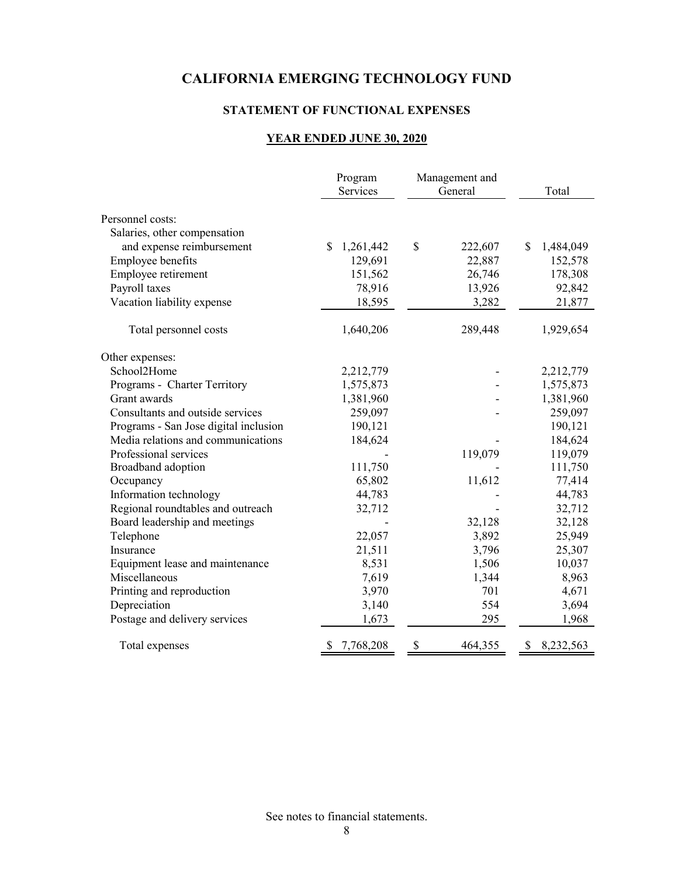# **STATEMENT OF FUNCTIONAL EXPENSES**

## **YEAR ENDED JUNE 30, 2020**

|                                       | Program<br>Services | Management and<br>General | Total           |
|---------------------------------------|---------------------|---------------------------|-----------------|
| Personnel costs:                      |                     |                           |                 |
| Salaries, other compensation          |                     |                           |                 |
| and expense reimbursement             | \$<br>1,261,442     | \$<br>222,607             | \$<br>1,484,049 |
| Employee benefits                     | 129,691             | 22,887                    | 152,578         |
| Employee retirement                   | 151,562             | 26,746                    | 178,308         |
| Payroll taxes                         | 78,916              | 13,926                    | 92,842          |
| Vacation liability expense            | 18,595              | 3,282                     | 21,877          |
| Total personnel costs                 | 1,640,206           | 289,448                   | 1,929,654       |
| Other expenses:                       |                     |                           |                 |
| School2Home                           | 2,212,779           |                           | 2,212,779       |
| Programs - Charter Territory          | 1,575,873           |                           | 1,575,873       |
| Grant awards                          | 1,381,960           |                           | 1,381,960       |
| Consultants and outside services      | 259,097             |                           | 259,097         |
| Programs - San Jose digital inclusion | 190,121             |                           | 190,121         |
| Media relations and communications    | 184,624             |                           | 184,624         |
| Professional services                 |                     | 119,079                   | 119,079         |
| Broadband adoption                    | 111,750             |                           | 111,750         |
| Occupancy                             | 65,802              | 11,612                    | 77,414          |
| Information technology                | 44,783              |                           | 44,783          |
| Regional roundtables and outreach     | 32,712              |                           | 32,712          |
| Board leadership and meetings         |                     | 32,128                    | 32,128          |
| Telephone                             | 22,057              | 3,892                     | 25,949          |
| Insurance                             | 21,511              | 3,796                     | 25,307          |
| Equipment lease and maintenance       | 8,531               | 1,506                     | 10,037          |
| Miscellaneous                         | 7,619               | 1,344                     | 8,963           |
| Printing and reproduction             | 3,970               | 701                       | 4,671           |
| Depreciation                          | 3,140               | 554                       | 3,694           |
| Postage and delivery services         | 1,673               | 295                       | 1,968           |
| Total expenses                        | 7,768,208<br>\$     | \$<br>464,355             | \$<br>8,232,563 |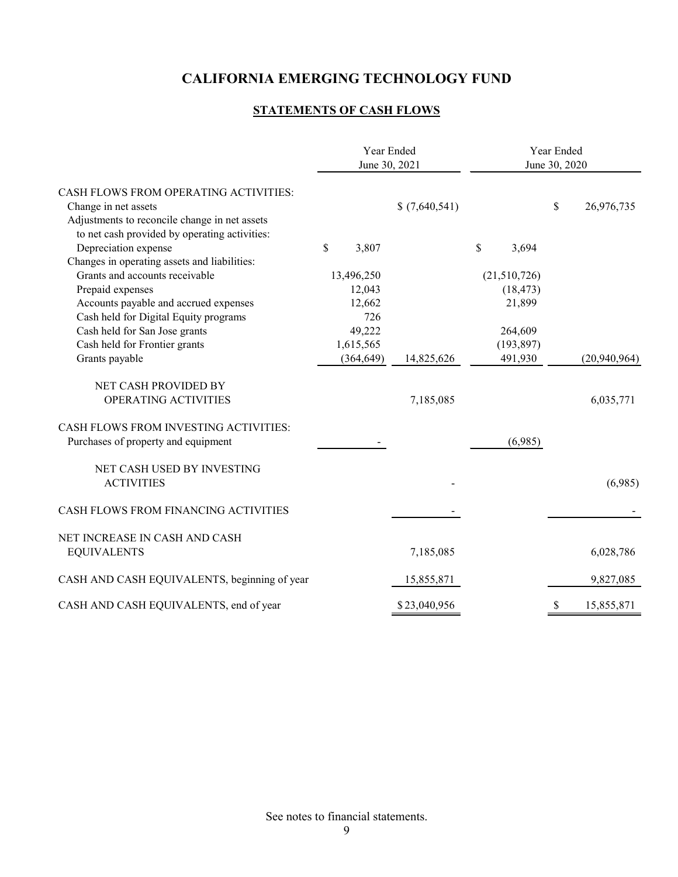# **STATEMENTS OF CASH FLOWS**

|                                                                                                                       | Year Ended<br>June 30, 2021 |            | Year Ended<br>June 30, 2020 |    |              |    |              |
|-----------------------------------------------------------------------------------------------------------------------|-----------------------------|------------|-----------------------------|----|--------------|----|--------------|
| CASH FLOWS FROM OPERATING ACTIVITIES:<br>Change in net assets<br>Adjustments to reconcile change in net assets        |                             |            | \$(7,640,541)               |    |              | \$ | 26,976,735   |
| to net cash provided by operating activities:<br>Depreciation expense<br>Changes in operating assets and liabilities: | \$                          | 3,807      |                             | \$ | 3,694        |    |              |
| Grants and accounts receivable                                                                                        |                             | 13,496,250 |                             |    | (21,510,726) |    |              |
| Prepaid expenses                                                                                                      |                             | 12,043     |                             |    | (18, 473)    |    |              |
| Accounts payable and accrued expenses                                                                                 |                             | 12,662     |                             |    | 21,899       |    |              |
| Cash held for Digital Equity programs                                                                                 |                             | 726        |                             |    |              |    |              |
| Cash held for San Jose grants                                                                                         |                             | 49,222     |                             |    | 264,609      |    |              |
| Cash held for Frontier grants                                                                                         |                             | 1,615,565  |                             |    | (193, 897)   |    |              |
| Grants payable                                                                                                        |                             | (364, 649) | 14,825,626                  |    | 491,930      |    | (20,940,964) |
| NET CASH PROVIDED BY                                                                                                  |                             |            |                             |    |              |    |              |
| OPERATING ACTIVITIES                                                                                                  |                             |            | 7,185,085                   |    |              |    | 6,035,771    |
| CASH FLOWS FROM INVESTING ACTIVITIES:                                                                                 |                             |            |                             |    |              |    |              |
| Purchases of property and equipment                                                                                   |                             |            |                             |    | (6,985)      |    |              |
| NET CASH USED BY INVESTING<br><b>ACTIVITIES</b>                                                                       |                             |            |                             |    |              |    | (6,985)      |
| CASH FLOWS FROM FINANCING ACTIVITIES                                                                                  |                             |            |                             |    |              |    |              |
| NET INCREASE IN CASH AND CASH<br><b>EQUIVALENTS</b>                                                                   |                             |            | 7,185,085                   |    |              |    | 6,028,786    |
| CASH AND CASH EQUIVALENTS, beginning of year                                                                          |                             |            | 15,855,871                  |    |              |    | 9,827,085    |
| CASH AND CASH EQUIVALENTS, end of year                                                                                |                             |            | \$23,040,956                |    |              | \$ | 15,855,871   |

See notes to financial statements.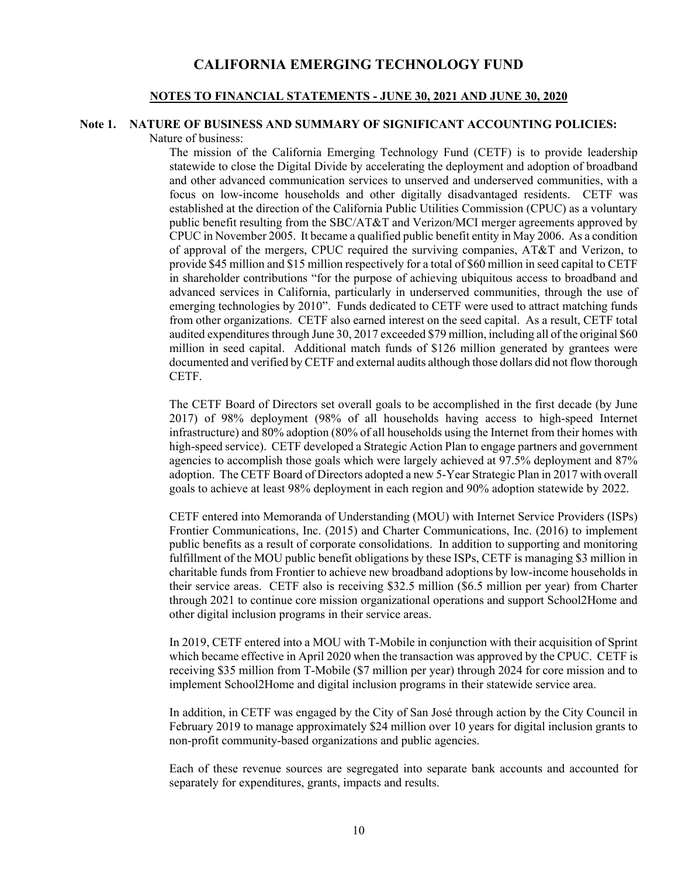#### **NOTES TO FINANCIAL STATEMENTS - JUNE 30, 2021 AND JUNE 30, 2020**

# **Note 1. NATURE OF BUSINESS AND SUMMARY OF SIGNIFICANT ACCOUNTING POLICIES:**

Nature of business:

The mission of the California Emerging Technology Fund (CETF) is to provide leadership statewide to close the Digital Divide by accelerating the deployment and adoption of broadband and other advanced communication services to unserved and underserved communities, with a focus on low-income households and other digitally disadvantaged residents. CETF was established at the direction of the California Public Utilities Commission (CPUC) as a voluntary public benefit resulting from the SBC/AT&T and Verizon/MCI merger agreements approved by CPUC in November 2005. It became a qualified public benefit entity in May 2006. As a condition of approval of the mergers, CPUC required the surviving companies, AT&T and Verizon, to provide \$45 million and \$15 million respectively for a total of \$60 million in seed capital to CETF in shareholder contributions "for the purpose of achieving ubiquitous access to broadband and advanced services in California, particularly in underserved communities, through the use of emerging technologies by 2010". Funds dedicated to CETF were used to attract matching funds from other organizations. CETF also earned interest on the seed capital. As a result, CETF total audited expenditures through June 30, 2017 exceeded \$79 million, including all of the original \$60 million in seed capital. Additional match funds of \$126 million generated by grantees were documented and verified by CETF and external audits although those dollars did not flow thorough CETF.

The CETF Board of Directors set overall goals to be accomplished in the first decade (by June 2017) of 98% deployment (98% of all households having access to high-speed Internet infrastructure) and 80% adoption (80% of all households using the Internet from their homes with high-speed service). CETF developed a Strategic Action Plan to engage partners and government agencies to accomplish those goals which were largely achieved at 97.5% deployment and 87% adoption. The CETF Board of Directors adopted a new 5-Year Strategic Plan in 2017 with overall goals to achieve at least 98% deployment in each region and 90% adoption statewide by 2022.

CETF entered into Memoranda of Understanding (MOU) with Internet Service Providers (ISPs) Frontier Communications, Inc. (2015) and Charter Communications, Inc. (2016) to implement public benefits as a result of corporate consolidations. In addition to supporting and monitoring fulfillment of the MOU public benefit obligations by these ISPs, CETF is managing \$3 million in charitable funds from Frontier to achieve new broadband adoptions by low-income households in their service areas. CETF also is receiving \$32.5 million (\$6.5 million per year) from Charter through 2021 to continue core mission organizational operations and support School2Home and other digital inclusion programs in their service areas.

In 2019, CETF entered into a MOU with T-Mobile in conjunction with their acquisition of Sprint which became effective in April 2020 when the transaction was approved by the CPUC. CETF is receiving \$35 million from T-Mobile (\$7 million per year) through 2024 for core mission and to implement School2Home and digital inclusion programs in their statewide service area.

In addition, in CETF was engaged by the City of San José through action by the City Council in February 2019 to manage approximately \$24 million over 10 years for digital inclusion grants to non-profit community-based organizations and public agencies.

Each of these revenue sources are segregated into separate bank accounts and accounted for separately for expenditures, grants, impacts and results.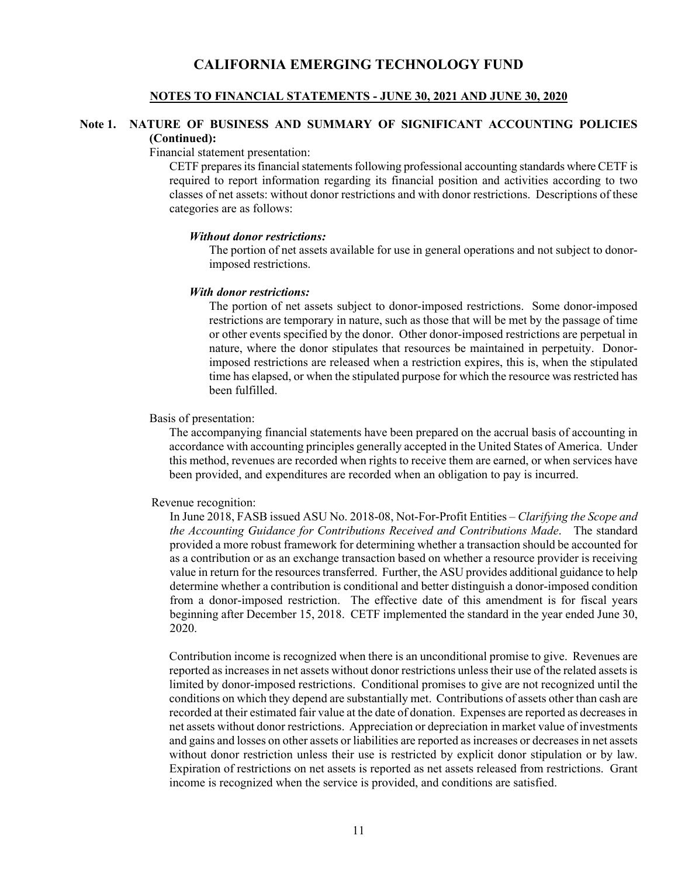#### **NOTES TO FINANCIAL STATEMENTS - JUNE 30, 2021 AND JUNE 30, 2020**

### **Note 1. NATURE OF BUSINESS AND SUMMARY OF SIGNIFICANT ACCOUNTING POLICIES (Continued):**

Financial statement presentation:

CETF prepares its financial statements following professional accounting standards where CETF is required to report information regarding its financial position and activities according to two classes of net assets: without donor restrictions and with donor restrictions. Descriptions of these categories are as follows:

#### *Without donor restrictions:*

The portion of net assets available for use in general operations and not subject to donorimposed restrictions.

#### *With donor restrictions:*

The portion of net assets subject to donor-imposed restrictions. Some donor-imposed restrictions are temporary in nature, such as those that will be met by the passage of time or other events specified by the donor. Other donor-imposed restrictions are perpetual in nature, where the donor stipulates that resources be maintained in perpetuity. Donorimposed restrictions are released when a restriction expires, this is, when the stipulated time has elapsed, or when the stipulated purpose for which the resource was restricted has been fulfilled.

#### Basis of presentation:

The accompanying financial statements have been prepared on the accrual basis of accounting in accordance with accounting principles generally accepted in the United States of America. Under this method, revenues are recorded when rights to receive them are earned, or when services have been provided, and expenditures are recorded when an obligation to pay is incurred.

#### Revenue recognition:

In June 2018, FASB issued ASU No. 2018-08, Not-For-Profit Entities – *Clarifying the Scope and the Accounting Guidance for Contributions Received and Contributions Made*. The standard provided a more robust framework for determining whether a transaction should be accounted for as a contribution or as an exchange transaction based on whether a resource provider is receiving value in return for the resources transferred. Further, the ASU provides additional guidance to help determine whether a contribution is conditional and better distinguish a donor-imposed condition from a donor-imposed restriction. The effective date of this amendment is for fiscal years beginning after December 15, 2018. CETF implemented the standard in the year ended June 30, 2020.

Contribution income is recognized when there is an unconditional promise to give. Revenues are reported as increases in net assets without donor restrictions unless their use of the related assets is limited by donor-imposed restrictions. Conditional promises to give are not recognized until the conditions on which they depend are substantially met. Contributions of assets other than cash are recorded at their estimated fair value at the date of donation. Expenses are reported as decreases in net assets without donor restrictions. Appreciation or depreciation in market value of investments and gains and losses on other assets or liabilities are reported as increases or decreases in net assets without donor restriction unless their use is restricted by explicit donor stipulation or by law. Expiration of restrictions on net assets is reported as net assets released from restrictions. Grant income is recognized when the service is provided, and conditions are satisfied.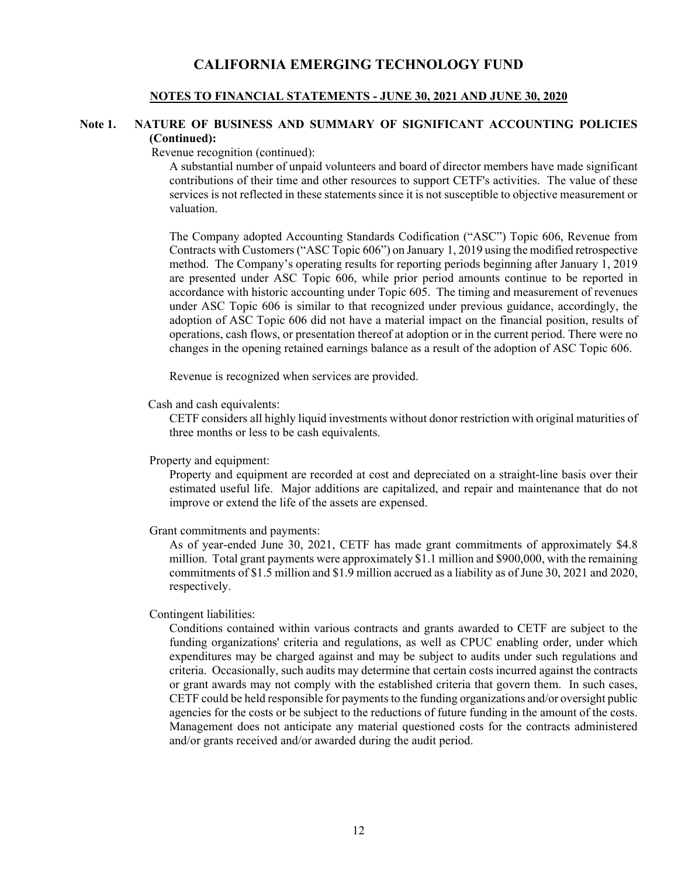#### **NOTES TO FINANCIAL STATEMENTS - JUNE 30, 2021 AND JUNE 30, 2020**

## **Note 1. NATURE OF BUSINESS AND SUMMARY OF SIGNIFICANT ACCOUNTING POLICIES (Continued):**

Revenue recognition (continued):

A substantial number of unpaid volunteers and board of director members have made significant contributions of their time and other resources to support CETF's activities. The value of these services is not reflected in these statements since it is not susceptible to objective measurement or valuation.

The Company adopted Accounting Standards Codification ("ASC") Topic 606, Revenue from Contracts with Customers ("ASC Topic 606") on January 1, 2019 using the modified retrospective method. The Company's operating results for reporting periods beginning after January 1, 2019 are presented under ASC Topic 606, while prior period amounts continue to be reported in accordance with historic accounting under Topic 605. The timing and measurement of revenues under ASC Topic 606 is similar to that recognized under previous guidance, accordingly, the adoption of ASC Topic 606 did not have a material impact on the financial position, results of operations, cash flows, or presentation thereof at adoption or in the current period. There were no changes in the opening retained earnings balance as a result of the adoption of ASC Topic 606.

Revenue is recognized when services are provided.

#### Cash and cash equivalents:

CETF considers all highly liquid investments without donor restriction with original maturities of three months or less to be cash equivalents.

#### Property and equipment:

Property and equipment are recorded at cost and depreciated on a straight-line basis over their estimated useful life. Major additions are capitalized, and repair and maintenance that do not improve or extend the life of the assets are expensed.

#### Grant commitments and payments:

As of year-ended June 30, 2021, CETF has made grant commitments of approximately \$4.8 million. Total grant payments were approximately \$1.1 million and \$900,000, with the remaining commitments of \$1.5 million and \$1.9 million accrued as a liability as of June 30, 2021 and 2020, respectively.

Contingent liabilities:

Conditions contained within various contracts and grants awarded to CETF are subject to the funding organizations' criteria and regulations, as well as CPUC enabling order, under which expenditures may be charged against and may be subject to audits under such regulations and criteria. Occasionally, such audits may determine that certain costs incurred against the contracts or grant awards may not comply with the established criteria that govern them. In such cases, CETF could be held responsible for payments to the funding organizations and/or oversight public agencies for the costs or be subject to the reductions of future funding in the amount of the costs. Management does not anticipate any material questioned costs for the contracts administered and/or grants received and/or awarded during the audit period.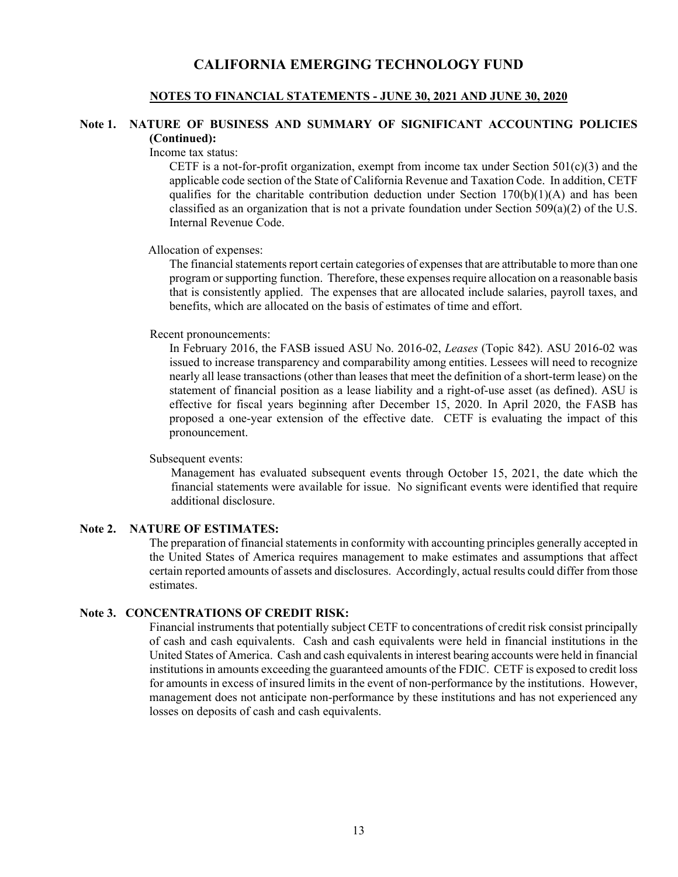#### **NOTES TO FINANCIAL STATEMENTS - JUNE 30, 2021 AND JUNE 30, 2020**

### **Note 1. NATURE OF BUSINESS AND SUMMARY OF SIGNIFICANT ACCOUNTING POLICIES (Continued):**

Income tax status:

CETF is a not-for-profit organization, exempt from income tax under Section  $501(c)(3)$  and the applicable code section of the State of California Revenue and Taxation Code. In addition, CETF qualifies for the charitable contribution deduction under Section  $170(b)(1)(A)$  and has been classified as an organization that is not a private foundation under Section  $509(a)(2)$  of the U.S. Internal Revenue Code.

#### Allocation of expenses:

The financial statements report certain categories of expenses that are attributable to more than one program or supporting function. Therefore, these expenses require allocation on a reasonable basis that is consistently applied. The expenses that are allocated include salaries, payroll taxes, and benefits, which are allocated on the basis of estimates of time and effort.

#### Recent pronouncements:

In February 2016, the FASB issued ASU No. 2016-02, *Leases* (Topic 842). ASU 2016-02 was issued to increase transparency and comparability among entities. Lessees will need to recognize nearly all lease transactions (other than leases that meet the definition of a short-term lease) on the statement of financial position as a lease liability and a right-of-use asset (as defined). ASU is effective for fiscal years beginning after December 15, 2020. In April 2020, the FASB has proposed a one-year extension of the effective date. CETF is evaluating the impact of this pronouncement.

#### Subsequent events:

Management has evaluated subsequent events through October 15, 2021, the date which the financial statements were available for issue. No significant events were identified that require additional disclosure.

## **Note 2. NATURE OF ESTIMATES:**

The preparation of financial statements in conformity with accounting principles generally accepted in the United States of America requires management to make estimates and assumptions that affect certain reported amounts of assets and disclosures. Accordingly, actual results could differ from those estimates.

## **Note 3. CONCENTRATIONS OF CREDIT RISK:**

Financial instruments that potentially subject CETF to concentrations of credit risk consist principally of cash and cash equivalents. Cash and cash equivalents were held in financial institutions in the United States of America. Cash and cash equivalents in interest bearing accounts were held in financial institutions in amounts exceeding the guaranteed amounts of the FDIC. CETF is exposed to credit loss for amounts in excess of insured limits in the event of non-performance by the institutions. However, management does not anticipate non-performance by these institutions and has not experienced any losses on deposits of cash and cash equivalents.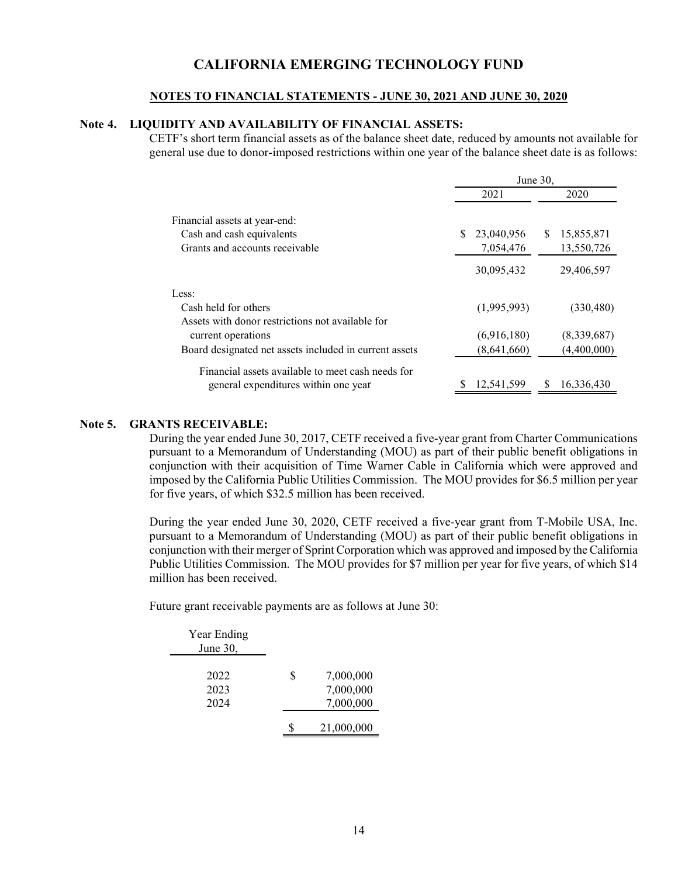#### **NOTES TO FINANCIAL STATEMENTS - JUNE 30, 2021 AND JUNE 30, 2020**

## **Note 4. LIQUIDITY AND AVAILABILITY OF FINANCIAL ASSETS:**

CETF's short term financial assets as of the balance sheet date, reduced by amounts not available for general use due to donor-imposed restrictions within one year of the balance sheet date is as follows:

|                                                                                           | June $30$ , |             |    |             |
|-------------------------------------------------------------------------------------------|-------------|-------------|----|-------------|
|                                                                                           |             | 2021        |    | 2020        |
| Financial assets at year-end:                                                             |             |             |    |             |
| Cash and cash equivalents                                                                 | S.          | 23,040,956  | S. | 15,855,871  |
| Grants and accounts receivable                                                            |             | 7,054,476   |    | 13,550,726  |
|                                                                                           |             | 30,095,432  |    | 29,406,597  |
| Less:                                                                                     |             |             |    |             |
| Cash held for others                                                                      |             | (1,995,993) |    | (330, 480)  |
| Assets with donor restrictions not available for                                          |             |             |    |             |
| current operations                                                                        |             | (6,916,180) |    | (8,339,687) |
| Board designated net assets included in current assets                                    |             | (8,641,660) |    | (4,400,000) |
| Financial assets available to meet cash needs for<br>general expenditures within one year |             | 12,541,599  |    | 16,336,430  |
|                                                                                           |             |             |    |             |

#### **Note 5. GRANTS RECEIVABLE:**

During the year ended June 30, 2017, CETF received a five-year grant from Charter Communications pursuant to a Memorandum of Understanding (MOU) as part of their public benefit obligations in conjunction with their acquisition of Time Warner Cable in California which were approved and imposed by the California Public Utilities Commission. The MOU provides for \$6.5 million per year for five years, of which \$32.5 million has been received.

During the year ended June 30, 2020, CETF received a five-year grant from T-Mobile USA, Inc. pursuant to a Memorandum of Understanding (MOU) as part of their public benefit obligations in conjunction with their merger of Sprint Corporation which was approved and imposed by the California Public Utilities Commission. The MOU provides for \$7 million per year for five years, of which \$14 million has been received.

Future grant receivable payments are as follows at June 30:

| Year Ending<br>June 30, |   |                        |
|-------------------------|---|------------------------|
| 2022<br>2023            | S | 7,000,000<br>7,000,000 |
| 2024                    |   | 7,000,000              |
|                         |   | 21,000,000             |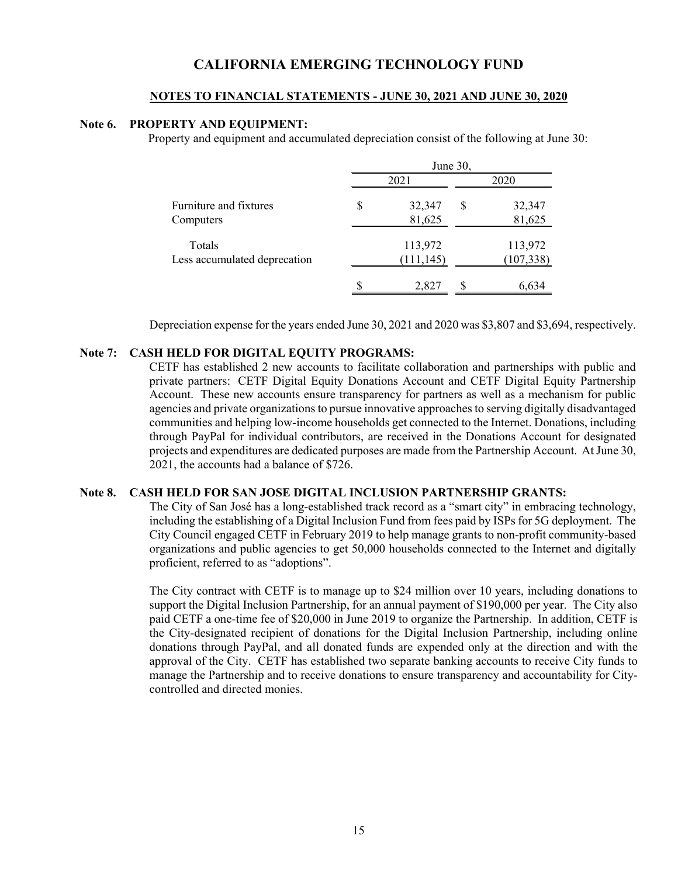#### **NOTES TO FINANCIAL STATEMENTS - JUNE 30, 2021 AND JUNE 30, 2020**

#### **Note 6. PROPERTY AND EQUIPMENT:**

Property and equipment and accumulated depreciation consist of the following at June 30:

|                                        |   | June $30$ ,           |   |                       |  |  |
|----------------------------------------|---|-----------------------|---|-----------------------|--|--|
|                                        |   | 2021                  |   | 2020                  |  |  |
| Furniture and fixtures<br>Computers    | S | 32,347<br>81,625      | S | 32,347<br>81,625      |  |  |
| Totals<br>Less accumulated deprecation |   | 113,972<br>(111, 145) |   | 113,972<br>(107, 338) |  |  |
|                                        |   | 2,827                 |   | 6.634                 |  |  |

Depreciation expense for the years ended June 30, 2021 and 2020 was \$3,807 and \$3,694, respectively.

#### **Note 7: CASH HELD FOR DIGITAL EQUITY PROGRAMS:**

CETF has established 2 new accounts to facilitate collaboration and partnerships with public and private partners: CETF Digital Equity Donations Account and CETF Digital Equity Partnership Account. These new accounts ensure transparency for partners as well as a mechanism for public agencies and private organizations to pursue innovative approaches to serving digitally disadvantaged communities and helping low-income households get connected to the Internet. Donations, including through PayPal for individual contributors, are received in the Donations Account for designated projects and expenditures are dedicated purposes are made from the Partnership Account. At June 30, 2021, the accounts had a balance of \$726.

### **Note 8. CASH HELD FOR SAN JOSE DIGITAL INCLUSION PARTNERSHIP GRANTS:**

The City of San José has a long-established track record as a "smart city" in embracing technology, including the establishing of a Digital Inclusion Fund from fees paid by ISPs for 5G deployment. The City Council engaged CETF in February 2019 to help manage grants to non-profit community-based organizations and public agencies to get 50,000 households connected to the Internet and digitally proficient, referred to as "adoptions".

The City contract with CETF is to manage up to \$24 million over 10 years, including donations to support the Digital Inclusion Partnership, for an annual payment of \$190,000 per year. The City also paid CETF a one-time fee of \$20,000 in June 2019 to organize the Partnership. In addition, CETF is the City-designated recipient of donations for the Digital Inclusion Partnership, including online donations through PayPal, and all donated funds are expended only at the direction and with the approval of the City. CETF has established two separate banking accounts to receive City funds to manage the Partnership and to receive donations to ensure transparency and accountability for Citycontrolled and directed monies.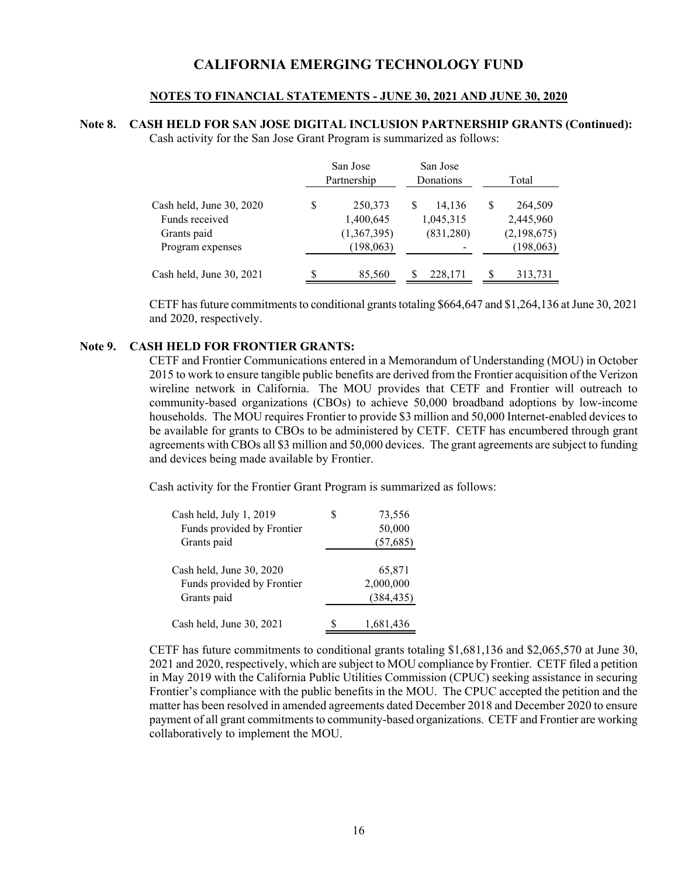#### **NOTES TO FINANCIAL STATEMENTS - JUNE 30, 2021 AND JUNE 30, 2020**

# **Note 8. CASH HELD FOR SAN JOSE DIGITAL INCLUSION PARTNERSHIP GRANTS (Continued):**

Cash activity for the San Jose Grant Program is summarized as follows:

|                                            | San Jose<br>Partnership                   |   | San Jose<br>Donations            |   | Total                               |
|--------------------------------------------|-------------------------------------------|---|----------------------------------|---|-------------------------------------|
| Cash held, June 30, 2020<br>Funds received | \$<br>250,373<br>1,400,645<br>(1,367,395) | S | 14.136<br>1,045,315<br>(831,280) |   | 264,509<br>2,445,960<br>(2,198,675) |
| Grants paid<br>Program expenses            | (198, 063)                                |   |                                  |   | (198,063)                           |
| Cash held, June 30, 2021                   | 85,560                                    |   | 228,171                          | S | 313,731                             |

CETF has future commitments to conditional grants totaling \$664,647 and \$1,264,136 at June 30, 2021 and 2020, respectively.

## **Note 9. CASH HELD FOR FRONTIER GRANTS:**

CETF and Frontier Communications entered in a Memorandum of Understanding (MOU) in October 2015 to work to ensure tangible public benefits are derived from the Frontier acquisition of the Verizon wireline network in California. The MOU provides that CETF and Frontier will outreach to community-based organizations (CBOs) to achieve 50,000 broadband adoptions by low-income households. The MOU requires Frontier to provide \$3 million and 50,000 Internet-enabled devices to be available for grants to CBOs to be administered by CETF. CETF has encumbered through grant agreements with CBOs all \$3 million and 50,000 devices. The grant agreements are subject to funding and devices being made available by Frontier.

Cash activity for the Frontier Grant Program is summarized as follows:

| Cash held, July 1, 2019    | 73,556     |
|----------------------------|------------|
| Funds provided by Frontier | 50,000     |
| Grants paid                | (57,685)   |
|                            |            |
| Cash held, June 30, 2020   | 65,871     |
| Funds provided by Frontier | 2,000,000  |
| Grants paid                | (384, 435) |
|                            |            |
| Cash held, June 30, 2021   | 1,681,436  |

CETF has future commitments to conditional grants totaling \$1,681,136 and \$2,065,570 at June 30, 2021 and 2020, respectively, which are subject to MOU compliance by Frontier. CETF filed a petition in May 2019 with the California Public Utilities Commission (CPUC) seeking assistance in securing Frontier's compliance with the public benefits in the MOU. The CPUC accepted the petition and the matter has been resolved in amended agreements dated December 2018 and December 2020 to ensure payment of all grant commitments to community-based organizations. CETF and Frontier are working collaboratively to implement the MOU.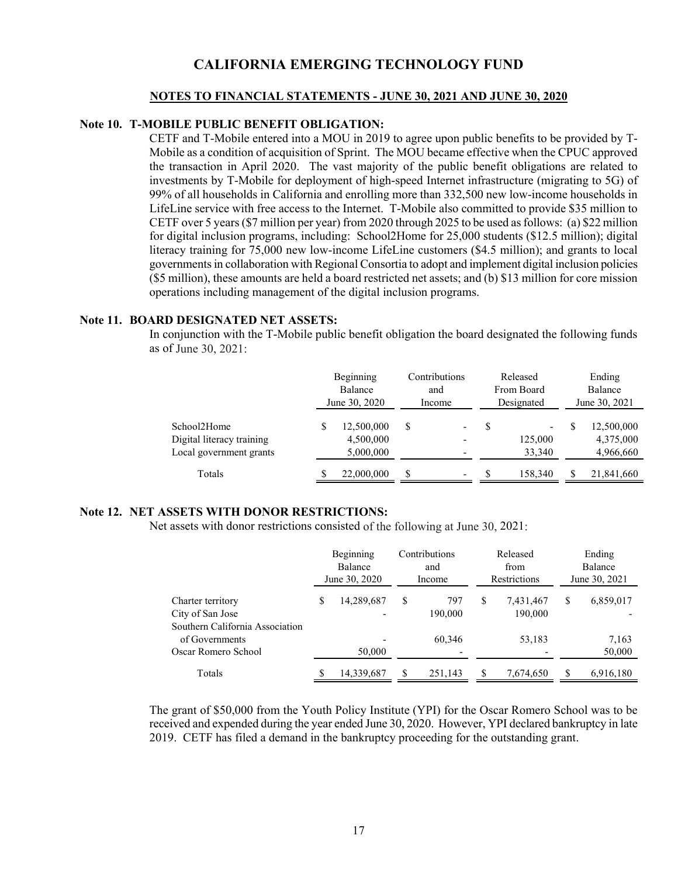#### **NOTES TO FINANCIAL STATEMENTS - JUNE 30, 2021 AND JUNE 30, 2020**

## **Note 10. T-MOBILE PUBLIC BENEFIT OBLIGATION:**

CETF and T-Mobile entered into a MOU in 2019 to agree upon public benefits to be provided by T-Mobile as a condition of acquisition of Sprint. The MOU became effective when the CPUC approved the transaction in April 2020. The vast majority of the public benefit obligations are related to investments by T-Mobile for deployment of high-speed Internet infrastructure (migrating to 5G) of 99% of all households in California and enrolling more than 332,500 new low-income households in LifeLine service with free access to the Internet. T-Mobile also committed to provide \$35 million to CETF over 5 years (\$7 million per year) from 2020 through 2025 to be used as follows: (a) \$22 million for digital inclusion programs, including: School2Home for 25,000 students (\$12.5 million); digital literacy training for 75,000 new low-income LifeLine customers (\$4.5 million); and grants to local governments in collaboration with Regional Consortia to adopt and implement digital inclusion policies (\$5 million), these amounts are held a board restricted net assets; and (b) \$13 million for core mission operations including management of the digital inclusion programs.

#### **Note 11. BOARD DESIGNATED NET ASSETS:**

In conjunction with the T-Mobile public benefit obligation the board designated the following funds as of June 30, 2021:

|                                                                     | Beginning<br>Balance<br>June 30, 2020 |                                      |   | Contributions<br>and<br>Income |   | Released<br>From Board<br>Designated | Ending<br>Balance<br>June 30, 2021 |                                      |  |
|---------------------------------------------------------------------|---------------------------------------|--------------------------------------|---|--------------------------------|---|--------------------------------------|------------------------------------|--------------------------------------|--|
| School2Home<br>Digital literacy training<br>Local government grants | S                                     | 12,500,000<br>4,500,000<br>5,000,000 | S | -                              | S | ۰<br>125,000<br>33,340               |                                    | 12,500,000<br>4,375,000<br>4,966,660 |  |
| Totals                                                              |                                       | 22,000,000                           | S | ۰                              |   | 158,340                              |                                    | 21,841,660                           |  |

### **Note 12. NET ASSETS WITH DONOR RESTRICTIONS:**

Net assets with donor restrictions consisted of the following at June 30, 2021:

|                                                                          |   | Beginning<br>Contributions<br>Released<br>Balance<br>and<br>from<br>June 30, 2020<br>Restrictions<br>Income |   |                | Ending<br>Balance<br>June 30, 2021 |                      |   |                 |  |
|--------------------------------------------------------------------------|---|-------------------------------------------------------------------------------------------------------------|---|----------------|------------------------------------|----------------------|---|-----------------|--|
| Charter territory<br>City of San Jose<br>Southern California Association | S | 14,289,687                                                                                                  | S | 797<br>190,000 | \$                                 | 7,431,467<br>190,000 | S | 6,859,017       |  |
| of Governments<br>Oscar Romero School                                    |   | 50,000                                                                                                      |   | 60,346         |                                    | 53,183               |   | 7,163<br>50,000 |  |
| Totals                                                                   |   | 14,339,687                                                                                                  |   | 251,143        | S                                  | 7,674,650            |   | 6,916,180       |  |

The grant of \$50,000 from the Youth Policy Institute (YPI) for the Oscar Romero School was to be received and expended during the year ended June 30, 2020. However, YPI declared bankruptcy in late 2019. CETF has filed a demand in the bankruptcy proceeding for the outstanding grant.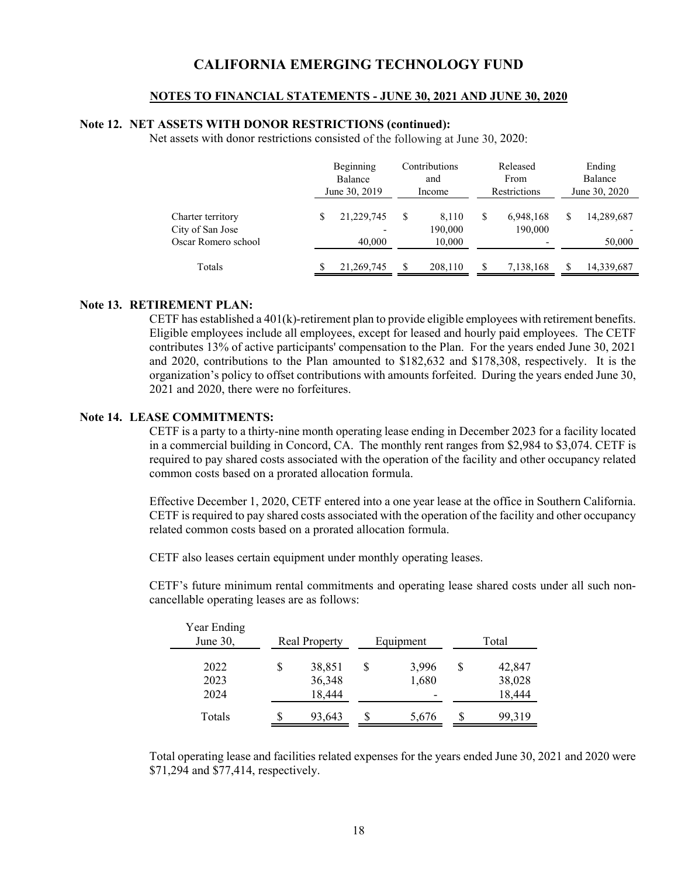### **NOTES TO FINANCIAL STATEMENTS - JUNE 30, 2021 AND JUNE 30, 2020**

### **Note 12. NET ASSETS WITH DONOR RESTRICTIONS (continued):**

Net assets with donor restrictions consisted of the following at June 30, 2020:

|                                                              |                      | Beginning<br>Balance<br>June 30, 2019 |                                 | Contributions<br>and<br>Income |    | Released<br>From<br>Restrictions | Ending<br>Balance<br>June 30, 2020 |                      |  |
|--------------------------------------------------------------|----------------------|---------------------------------------|---------------------------------|--------------------------------|----|----------------------------------|------------------------------------|----------------------|--|
| Charter territory<br>City of San Jose<br>Oscar Romero school | 21,229,745<br>40,000 |                                       | S<br>8.110<br>190,000<br>10,000 |                                | \$ | 6,948,168<br>190,000             | S                                  | 14,289,687<br>50,000 |  |
| Totals                                                       |                      | 21,269,745                            |                                 | 208,110                        |    | 7,138,168                        |                                    | 14,339,687           |  |

### **Note 13. RETIREMENT PLAN:**

CETF has established a  $401(k)$ -retirement plan to provide eligible employees with retirement benefits. Eligible employees include all employees, except for leased and hourly paid employees. The CETF contributes 13% of active participants' compensation to the Plan. For the years ended June 30, 2021 and 2020, contributions to the Plan amounted to \$182,632 and \$178,308, respectively. It is the organization's policy to offset contributions with amounts forfeited. During the years ended June 30, 2021 and 2020, there were no forfeitures.

### **Note 14. LEASE COMMITMENTS:**

CETF is a party to a thirty-nine month operating lease ending in December 2023 for a facility located in a commercial building in Concord, CA. The monthly rent ranges from \$2,984 to \$3,074. CETF is required to pay shared costs associated with the operation of the facility and other occupancy related common costs based on a prorated allocation formula.

Effective December 1, 2020, CETF entered into a one year lease at the office in Southern California. CETF is required to pay shared costs associated with the operation of the facility and other occupancy related common costs based on a prorated allocation formula.

CETF also leases certain equipment under monthly operating leases.

CETF's future minimum rental commitments and operating lease shared costs under all such noncancellable operating leases are as follows:

| Year Ending<br>June 30, |    | <b>Real Property</b>       | Equipment      | Total |                            |  |  |  |
|-------------------------|----|----------------------------|----------------|-------|----------------------------|--|--|--|
| 2022<br>2023<br>2024    | \$ | 38,851<br>36,348<br>18,444 | 3,996<br>1,680 |       | 42,847<br>38,028<br>18,444 |  |  |  |
| Totals                  | S  | 93,643                     | 5,676          |       | 99,319                     |  |  |  |

Total operating lease and facilities related expenses for the years ended June 30, 2021 and 2020 were \$71,294 and \$77,414, respectively.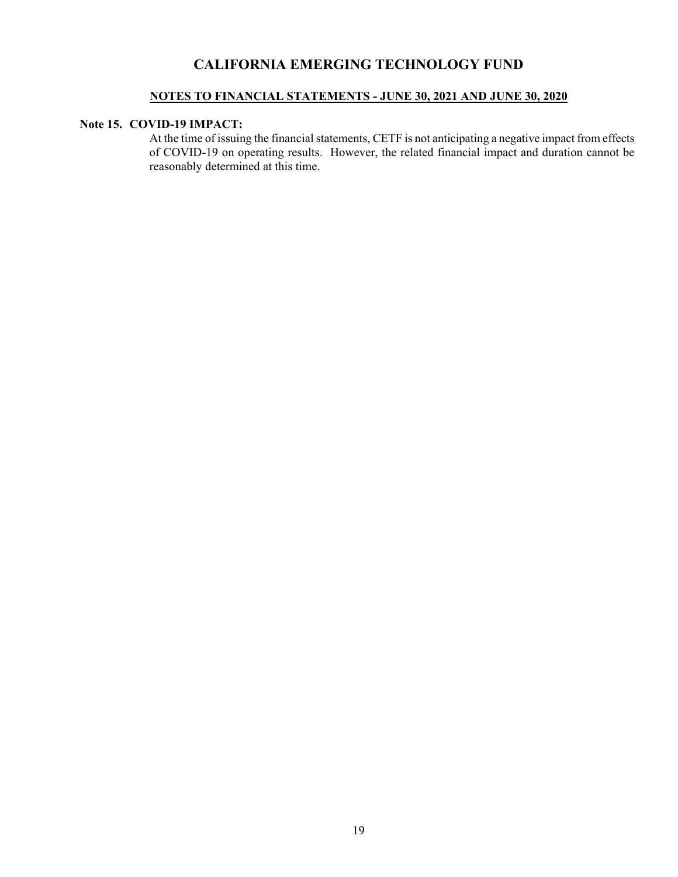## **NOTES TO FINANCIAL STATEMENTS - JUNE 30, 2021 AND JUNE 30, 2020**

## **Note 15. COVID-19 IMPACT:**

At the time of issuing the financial statements, CETF is not anticipating a negative impact from effects of COVID-19 on operating results. However, the related financial impact and duration cannot be reasonably determined at this time.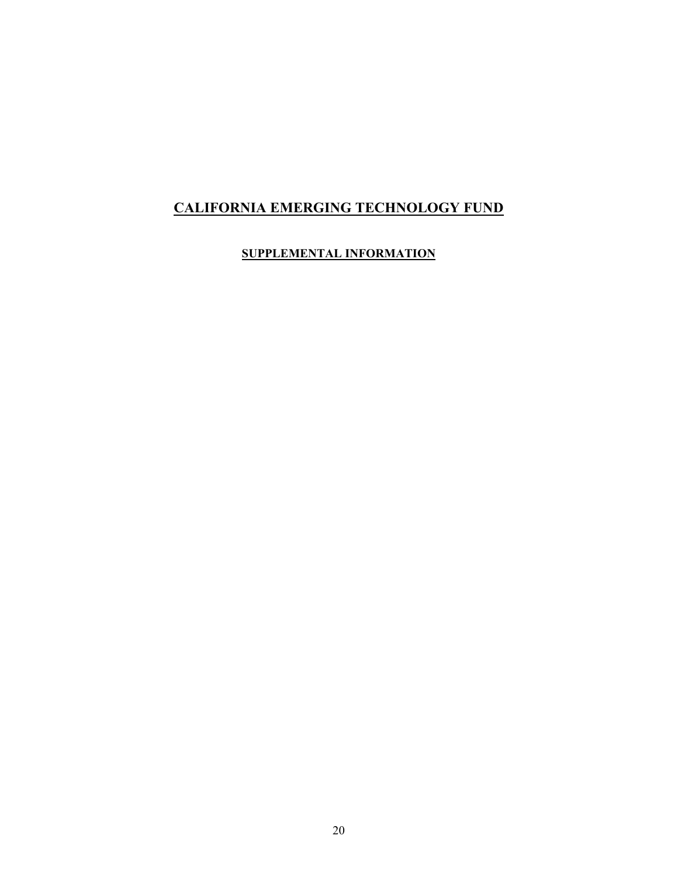**SUPPLEMENTAL INFORMATION**